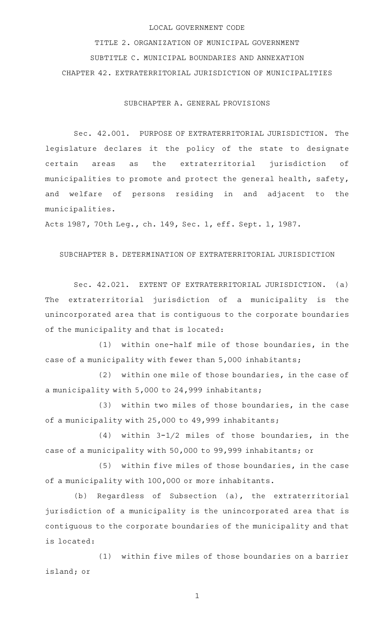## LOCAL GOVERNMENT CODE

TITLE 2. ORGANIZATION OF MUNICIPAL GOVERNMENT SUBTITLE C. MUNICIPAL BOUNDARIES AND ANNEXATION CHAPTER 42. EXTRATERRITORIAL JURISDICTION OF MUNICIPALITIES

SUBCHAPTER A. GENERAL PROVISIONS

Sec. 42.001. PURPOSE OF EXTRATERRITORIAL JURISDICTION. The legislature declares it the policy of the state to designate certain areas as the extraterritorial jurisdiction of municipalities to promote and protect the general health, safety, and welfare of persons residing in and adjacent to the municipalities.

Acts 1987, 70th Leg., ch. 149, Sec. 1, eff. Sept. 1, 1987.

## SUBCHAPTER B. DETERMINATION OF EXTRATERRITORIAL JURISDICTION

Sec. 42.021. EXTENT OF EXTRATERRITORIAL JURISDICTION. (a) The extraterritorial jurisdiction of a municipality is the unincorporated area that is contiguous to the corporate boundaries of the municipality and that is located:

 $(1)$  within one-half mile of those boundaries, in the case of a municipality with fewer than 5,000 inhabitants;

 $(2)$  within one mile of those boundaries, in the case of a municipality with 5,000 to 24,999 inhabitants;

 $(3)$  within two miles of those boundaries, in the case of a municipality with 25,000 to 49,999 inhabitants;

 $(4)$  within 3-1/2 miles of those boundaries, in the case of a municipality with 50,000 to 99,999 inhabitants; or

(5) within five miles of those boundaries, in the case of a municipality with 100,000 or more inhabitants.

(b) Regardless of Subsection (a), the extraterritorial jurisdiction of a municipality is the unincorporated area that is contiguous to the corporate boundaries of the municipality and that is located:

(1) within five miles of those boundaries on a barrier island; or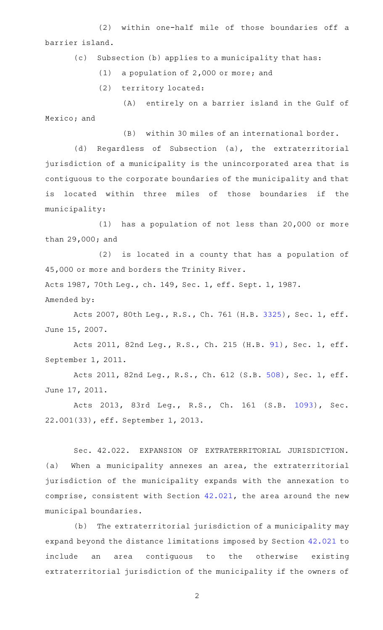(2) within one-half mile of those boundaries off a barrier island.

(c) Subsection (b) applies to a municipality that has:

 $(1)$  a population of 2,000 or more; and

(2) territory located:

(A) entirely on a barrier island in the Gulf of Mexico; and

(B) within 30 miles of an international border.

(d) Regardless of Subsection (a), the extraterritorial jurisdiction of a municipality is the unincorporated area that is contiguous to the corporate boundaries of the municipality and that is located within three miles of those boundaries if the municipality:

 $(1)$  has a population of not less than 20,000 or more than 29,000; and

 $(2)$  is located in a county that has a population of 45,000 or more and borders the Trinity River.

Acts 1987, 70th Leg., ch. 149, Sec. 1, eff. Sept. 1, 1987. Amended by:

Acts 2007, 80th Leg., R.S., Ch. 761 (H.B. [3325](http://www.legis.state.tx.us/tlodocs/80R/billtext/html/HB03325F.HTM)), Sec. 1, eff. June 15, 2007.

Acts 2011, 82nd Leg., R.S., Ch. 215 (H.B. [91](http://www.legis.state.tx.us/tlodocs/82R/billtext/html/HB00091F.HTM)), Sec. 1, eff. September 1, 2011.

Acts 2011, 82nd Leg., R.S., Ch. 612 (S.B. [508](http://www.legis.state.tx.us/tlodocs/82R/billtext/html/SB00508F.HTM)), Sec. 1, eff. June 17, 2011.

Acts 2013, 83rd Leg., R.S., Ch. 161 (S.B. [1093\)](http://www.legis.state.tx.us/tlodocs/83R/billtext/html/SB01093F.HTM), Sec. 22.001(33), eff. September 1, 2013.

Sec. 42.022. EXPANSION OF EXTRATERRITORIAL JURISDICTION. (a) When a municipality annexes an area, the extraterritorial jurisdiction of the municipality expands with the annexation to comprise, consistent with Section [42.021,](http://www.statutes.legis.state.tx.us/GetStatute.aspx?Code=LG&Value=42.021) the area around the new municipal boundaries.

(b) The extraterritorial jurisdiction of a municipality may expand beyond the distance limitations imposed by Section [42.021](http://www.statutes.legis.state.tx.us/GetStatute.aspx?Code=LG&Value=42.021) to include an area contiguous to the otherwise existing extraterritorial jurisdiction of the municipality if the owners of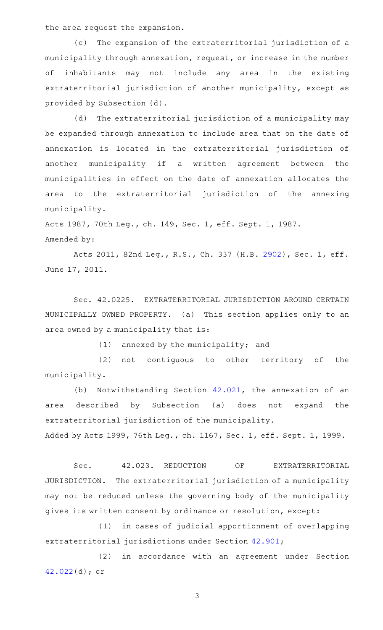the area request the expansion.

(c) The expansion of the extraterritorial jurisdiction of a municipality through annexation, request, or increase in the number of inhabitants may not include any area in the existing extraterritorial jurisdiction of another municipality, except as provided by Subsection (d).

(d) The extraterritorial jurisdiction of a municipality may be expanded through annexation to include area that on the date of annexation is located in the extraterritorial jurisdiction of another municipality if a written agreement between the municipalities in effect on the date of annexation allocates the area to the extraterritorial jurisdiction of the annexing municipality.

Acts 1987, 70th Leg., ch. 149, Sec. 1, eff. Sept. 1, 1987. Amended by:

Acts 2011, 82nd Leg., R.S., Ch. 337 (H.B. [2902](http://www.legis.state.tx.us/tlodocs/82R/billtext/html/HB02902F.HTM)), Sec. 1, eff. June 17, 2011.

Sec. 42.0225. EXTRATERRITORIAL JURISDICTION AROUND CERTAIN MUNICIPALLY OWNED PROPERTY. (a) This section applies only to an area owned by a municipality that is:

 $(1)$  annexed by the municipality; and

(2) not contiguous to other territory of the municipality.

(b) Notwithstanding Section  $42.021$ , the annexation of an area described by Subsection (a) does not expand the extraterritorial jurisdiction of the municipality. Added by Acts 1999, 76th Leg., ch. 1167, Sec. 1, eff. Sept. 1, 1999.

Sec. 42.023. REDUCTION OF EXTRATERRITORIAL JURISDICTION. The extraterritorial jurisdiction of a municipality may not be reduced unless the governing body of the municipality gives its written consent by ordinance or resolution, except:

(1) in cases of judicial apportionment of overlapping extraterritorial jurisdictions under Section [42.901;](http://www.statutes.legis.state.tx.us/GetStatute.aspx?Code=LG&Value=42.901)

(2) in accordance with an agreement under Section [42.022](http://www.statutes.legis.state.tx.us/GetStatute.aspx?Code=LG&Value=42.022)(d); or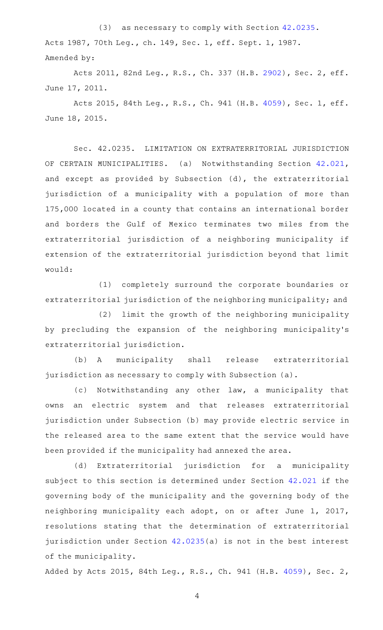(3) as necessary to comply with Section [42.0235.](http://www.statutes.legis.state.tx.us/GetStatute.aspx?Code=LG&Value=42.0235) Acts 1987, 70th Leg., ch. 149, Sec. 1, eff. Sept. 1, 1987. Amended by:

Acts 2011, 82nd Leg., R.S., Ch. 337 (H.B. [2902](http://www.legis.state.tx.us/tlodocs/82R/billtext/html/HB02902F.HTM)), Sec. 2, eff. June 17, 2011.

Acts 2015, 84th Leg., R.S., Ch. 941 (H.B. [4059](http://www.legis.state.tx.us/tlodocs/84R/billtext/html/HB04059F.HTM)), Sec. 1, eff. June 18, 2015.

Sec. 42.0235. LIMITATION ON EXTRATERRITORIAL JURISDICTION OF CERTAIN MUNICIPALITIES. (a) Notwithstanding Section [42.021](http://www.statutes.legis.state.tx.us/GetStatute.aspx?Code=LG&Value=42.021), and except as provided by Subsection (d), the extraterritorial jurisdiction of a municipality with a population of more than 175,000 located in a county that contains an international border and borders the Gulf of Mexico terminates two miles from the extraterritorial jurisdiction of a neighboring municipality if extension of the extraterritorial jurisdiction beyond that limit would:

(1) completely surround the corporate boundaries or extraterritorial jurisdiction of the neighboring municipality; and

(2) limit the growth of the neighboring municipality by precluding the expansion of the neighboring municipality 's extraterritorial jurisdiction.

(b) A municipality shall release extraterritorial jurisdiction as necessary to comply with Subsection (a).

(c) Notwithstanding any other law, a municipality that owns an electric system and that releases extraterritorial jurisdiction under Subsection (b) may provide electric service in the released area to the same extent that the service would have been provided if the municipality had annexed the area.

(d) Extraterritorial jurisdiction for a municipality subject to this section is determined under Section [42.021](http://www.statutes.legis.state.tx.us/GetStatute.aspx?Code=LG&Value=42.021) if the governing body of the municipality and the governing body of the neighboring municipality each adopt, on or after June 1, 2017, resolutions stating that the determination of extraterritorial jurisdiction under Section [42.0235](http://www.statutes.legis.state.tx.us/GetStatute.aspx?Code=LG&Value=42.0235)(a) is not in the best interest of the municipality.

Added by Acts 2015, 84th Leg., R.S., Ch. 941 (H.B. [4059](http://www.legis.state.tx.us/tlodocs/84R/billtext/html/HB04059F.HTM)), Sec. 2,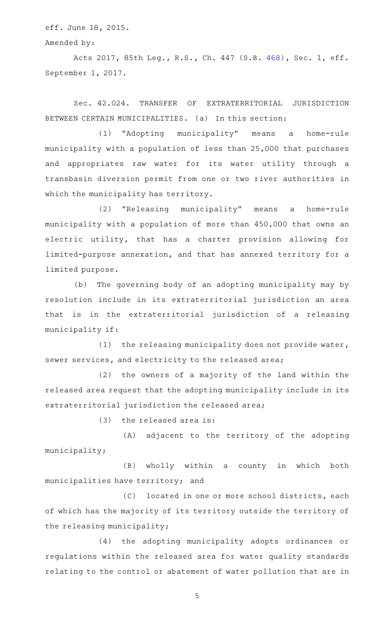eff. June 18, 2015.

Amended by:

Acts 2017, 85th Leg., R.S., Ch. 447 (S.B. [468](http://www.legis.state.tx.us/tlodocs/85R/billtext/html/SB00468F.HTM)), Sec. 1, eff. September 1, 2017.

Sec. 42.024. TRANSFER OF EXTRATERRITORIAL JURISDICTION BETWEEN CERTAIN MUNICIPALITIES. (a) In this section:

(1) "Adopting municipality" means a home-rule municipality with a population of less than 25,000 that purchases and appropriates raw water for its water utility through a transbasin diversion permit from one or two river authorities in which the municipality has territory.

(2) "Releasing municipality" means a home-rule municipality with a population of more than 450,000 that owns an electric utility, that has a charter provision allowing for limited-purpose annexation, and that has annexed territory for a limited purpose.

(b) The governing body of an adopting municipality may by resolution include in its extraterritorial jurisdiction an area that is in the extraterritorial jurisdiction of a releasing municipality if:

(1) the releasing municipality does not provide water, sewer services, and electricity to the released area;

 $(2)$  the owners of a majority of the land within the released area request that the adopting municipality include in its extraterritorial jurisdiction the released area;

 $(3)$  the released area is:

(A) adjacent to the territory of the adopting municipality;

(B) wholly within a county in which both municipalities have territory; and

(C) located in one or more school districts, each of which has the majority of its territory outside the territory of the releasing municipality;

(4) the adopting municipality adopts ordinances or regulations within the released area for water quality standards relating to the control or abatement of water pollution that are in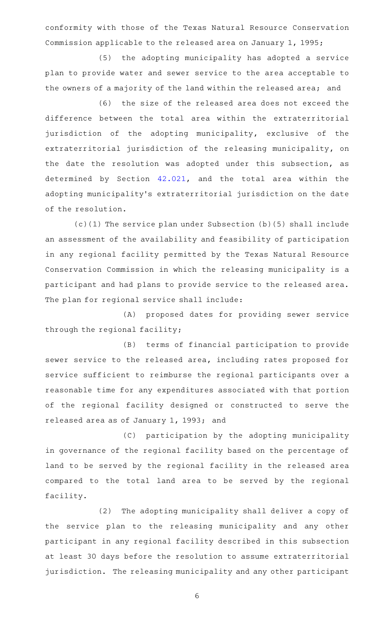conformity with those of the Texas Natural Resource Conservation Commission applicable to the released area on January 1, 1995;

(5) the adopting municipality has adopted a service plan to provide water and sewer service to the area acceptable to the owners of a majority of the land within the released area; and

(6) the size of the released area does not exceed the difference between the total area within the extraterritorial jurisdiction of the adopting municipality, exclusive of the extraterritorial jurisdiction of the releasing municipality, on the date the resolution was adopted under this subsection, as determined by Section [42.021,](http://www.statutes.legis.state.tx.us/GetStatute.aspx?Code=LG&Value=42.021) and the total area within the adopting municipality 's extraterritorial jurisdiction on the date of the resolution.

(c)(1) The service plan under Subsection (b)(5) shall include an assessment of the availability and feasibility of participation in any regional facility permitted by the Texas Natural Resource Conservation Commission in which the releasing municipality is a participant and had plans to provide service to the released area. The plan for regional service shall include:

(A) proposed dates for providing sewer service through the regional facility;

(B) terms of financial participation to provide sewer service to the released area, including rates proposed for service sufficient to reimburse the regional participants over a reasonable time for any expenditures associated with that portion of the regional facility designed or constructed to serve the released area as of January 1, 1993; and

(C) participation by the adopting municipality in governance of the regional facility based on the percentage of land to be served by the regional facility in the released area compared to the total land area to be served by the regional facility.

(2) The adopting municipality shall deliver a copy of the service plan to the releasing municipality and any other participant in any regional facility described in this subsection at least 30 days before the resolution to assume extraterritorial jurisdiction. The releasing municipality and any other participant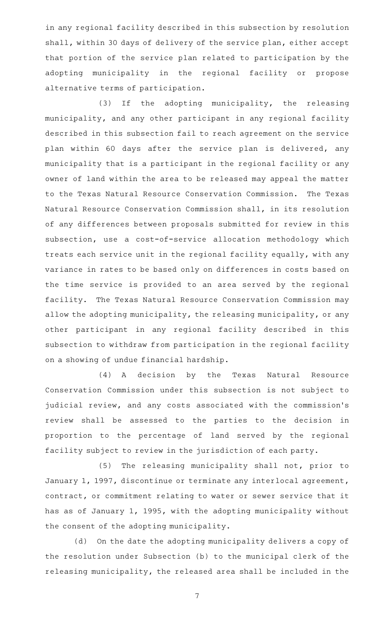in any regional facility described in this subsection by resolution shall, within 30 days of delivery of the service plan, either accept that portion of the service plan related to participation by the adopting municipality in the regional facility or propose alternative terms of participation.

(3) If the adopting municipality, the releasing municipality, and any other participant in any regional facility described in this subsection fail to reach agreement on the service plan within 60 days after the service plan is delivered, any municipality that is a participant in the regional facility or any owner of land within the area to be released may appeal the matter to the Texas Natural Resource Conservation Commission. The Texas Natural Resource Conservation Commission shall, in its resolution of any differences between proposals submitted for review in this subsection, use a cost-of-service allocation methodology which treats each service unit in the regional facility equally, with any variance in rates to be based only on differences in costs based on the time service is provided to an area served by the regional facility. The Texas Natural Resource Conservation Commission may allow the adopting municipality, the releasing municipality, or any other participant in any regional facility described in this subsection to withdraw from participation in the regional facility on a showing of undue financial hardship.

(4)AAA decision by the Texas Natural Resource Conservation Commission under this subsection is not subject to judicial review, and any costs associated with the commission's review shall be assessed to the parties to the decision in proportion to the percentage of land served by the regional facility subject to review in the jurisdiction of each party.

(5) The releasing municipality shall not, prior to January 1, 1997, discontinue or terminate any interlocal agreement, contract, or commitment relating to water or sewer service that it has as of January 1, 1995, with the adopting municipality without the consent of the adopting municipality.

(d) On the date the adopting municipality delivers a copy of the resolution under Subsection (b) to the municipal clerk of the releasing municipality, the released area shall be included in the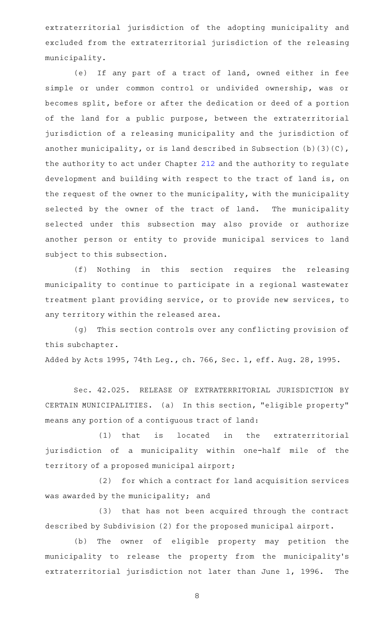extraterritorial jurisdiction of the adopting municipality and excluded from the extraterritorial jurisdiction of the releasing municipality.

(e) If any part of a tract of land, owned either in fee simple or under common control or undivided ownership, was or becomes split, before or after the dedication or deed of a portion of the land for a public purpose, between the extraterritorial jurisdiction of a releasing municipality and the jurisdiction of another municipality, or is land described in Subsection (b)(3)(C), the authority to act under Chapter [212](http://www.statutes.legis.state.tx.us/GetStatute.aspx?Code=LG&Value=212) and the authority to regulate development and building with respect to the tract of land is, on the request of the owner to the municipality, with the municipality selected by the owner of the tract of land. The municipality selected under this subsection may also provide or authorize another person or entity to provide municipal services to land subject to this subsection.

(f) Nothing in this section requires the releasing municipality to continue to participate in a regional wastewater treatment plant providing service, or to provide new services, to any territory within the released area.

(g) This section controls over any conflicting provision of this subchapter. Added by Acts 1995, 74th Leg., ch. 766, Sec. 1, eff. Aug. 28, 1995.

Sec. 42.025. RELEASE OF EXTRATERRITORIAL JURISDICTION BY CERTAIN MUNICIPALITIES. (a) In this section, "eligible property" means any portion of a contiguous tract of land:

(1) that is located in the extraterritorial jurisdiction of a municipality within one-half mile of the territory of a proposed municipal airport;

(2) for which a contract for land acquisition services was awarded by the municipality; and

(3) that has not been acquired through the contract described by Subdivision (2) for the proposed municipal airport.

(b) The owner of eligible property may petition the municipality to release the property from the municipality's extraterritorial jurisdiction not later than June 1, 1996. The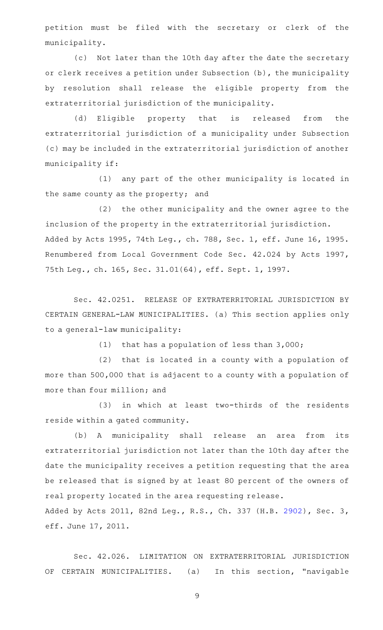petition must be filed with the secretary or clerk of the municipality.

(c) Not later than the 10th day after the date the secretary or clerk receives a petition under Subsection (b), the municipality by resolution shall release the eligible property from the extraterritorial jurisdiction of the municipality.

(d) Eligible property that is released from the extraterritorial jurisdiction of a municipality under Subsection (c) may be included in the extraterritorial jurisdiction of another municipality if:

(1) any part of the other municipality is located in the same county as the property; and

(2) the other municipality and the owner agree to the inclusion of the property in the extraterritorial jurisdiction. Added by Acts 1995, 74th Leg., ch. 788, Sec. 1, eff. June 16, 1995. Renumbered from Local Government Code Sec. 42.024 by Acts 1997, 75th Leg., ch. 165, Sec. 31.01(64), eff. Sept. 1, 1997.

Sec. 42.0251. RELEASE OF EXTRATERRITORIAL JURISDICTION BY CERTAIN GENERAL-LAW MUNICIPALITIES. (a) This section applies only to a general-law municipality:

(1) that has a population of less than  $3,000$ ;

(2) that is located in a county with a population of more than 500,000 that is adjacent to a county with a population of more than four million; and

(3) in which at least two-thirds of the residents reside within a gated community.

(b) A municipality shall release an area from its extraterritorial jurisdiction not later than the 10th day after the date the municipality receives a petition requesting that the area be released that is signed by at least 80 percent of the owners of real property located in the area requesting release. Added by Acts 2011, 82nd Leg., R.S., Ch. 337 (H.B. [2902](http://www.legis.state.tx.us/tlodocs/82R/billtext/html/HB02902F.HTM)), Sec. 3,

eff. June 17, 2011.

Sec. 42.026. LIMITATION ON EXTRATERRITORIAL JURISDICTION OF CERTAIN MUNICIPALITIES. (a) In this section, "navigable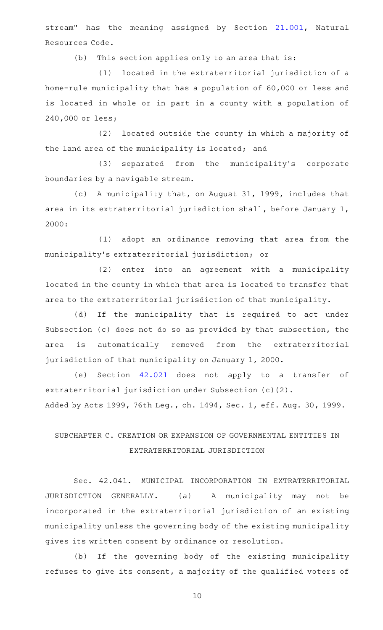stream" has the meaning assigned by Section [21.001,](http://www.statutes.legis.state.tx.us/GetStatute.aspx?Code=NR&Value=21.001) Natural Resources Code.

(b) This section applies only to an area that is:

(1) located in the extraterritorial jurisdiction of a home-rule municipality that has a population of 60,000 or less and is located in whole or in part in a county with a population of 240,000 or less;

(2) located outside the county in which a majority of the land area of the municipality is located; and

(3) separated from the municipality's corporate boundaries by a navigable stream.

(c) A municipality that, on August 31, 1999, includes that area in its extraterritorial jurisdiction shall, before January 1, 2000:

(1) adopt an ordinance removing that area from the municipality 's extraterritorial jurisdiction; or

(2) enter into an agreement with a municipality located in the county in which that area is located to transfer that area to the extraterritorial jurisdiction of that municipality.

(d) If the municipality that is required to act under Subsection (c) does not do so as provided by that subsection, the area is automatically removed from the extraterritorial jurisdiction of that municipality on January 1, 2000.

(e) Section [42.021](http://www.statutes.legis.state.tx.us/GetStatute.aspx?Code=LG&Value=42.021) does not apply to a transfer of extraterritorial jurisdiction under Subsection (c)(2). Added by Acts 1999, 76th Leg., ch. 1494, Sec. 1, eff. Aug. 30, 1999.

# SUBCHAPTER C. CREATION OR EXPANSION OF GOVERNMENTAL ENTITIES IN EXTRATERRITORIAL JURISDICTION

Sec. 42.041. MUNICIPAL INCORPORATION IN EXTRATERRITORIAL JURISDICTION GENERALLY. (a) A municipality may not be incorporated in the extraterritorial jurisdiction of an existing municipality unless the governing body of the existing municipality gives its written consent by ordinance or resolution.

(b) If the governing body of the existing municipality refuses to give its consent, a majority of the qualified voters of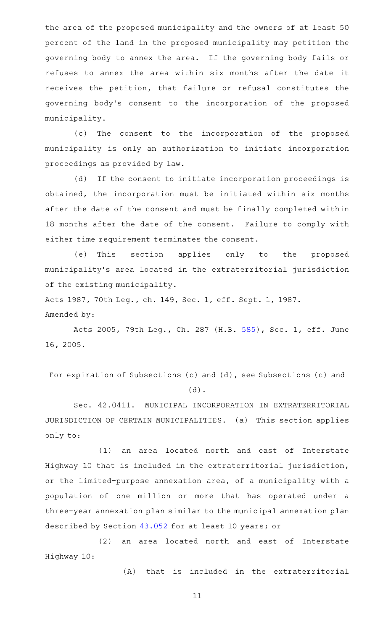the area of the proposed municipality and the owners of at least 50 percent of the land in the proposed municipality may petition the governing body to annex the area. If the governing body fails or refuses to annex the area within six months after the date it receives the petition, that failure or refusal constitutes the governing body 's consent to the incorporation of the proposed municipality.

(c) The consent to the incorporation of the proposed municipality is only an authorization to initiate incorporation proceedings as provided by law.

(d) If the consent to initiate incorporation proceedings is obtained, the incorporation must be initiated within six months after the date of the consent and must be finally completed within 18 months after the date of the consent. Failure to comply with either time requirement terminates the consent.

(e) This section applies only to the proposed municipality 's area located in the extraterritorial jurisdiction of the existing municipality.

Acts 1987, 70th Leg., ch. 149, Sec. 1, eff. Sept. 1, 1987. Amended by:

Acts 2005, 79th Leg., Ch. 287 (H.B. [585\)](http://www.legis.state.tx.us/tlodocs/79R/billtext/html/HB00585F.HTM), Sec. 1, eff. June 16, 2005.

For expiration of Subsections (c) and (d), see Subsections (c) and (d).

Sec. 42.0411. MUNICIPAL INCORPORATION IN EXTRATERRITORIAL JURISDICTION OF CERTAIN MUNICIPALITIES. (a) This section applies only to:

(1) an area located north and east of Interstate Highway 10 that is included in the extraterritorial jurisdiction, or the limited-purpose annexation area, of a municipality with a population of one million or more that has operated under a three-year annexation plan similar to the municipal annexation plan described by Section [43.052](http://www.statutes.legis.state.tx.us/GetStatute.aspx?Code=LG&Value=43.052) for at least 10 years; or

(2) an area located north and east of Interstate Highway 10:

(A) that is included in the extraterritorial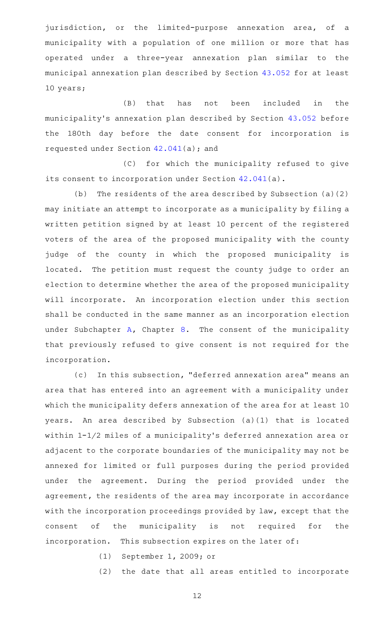jurisdiction, or the limited-purpose annexation area, of a municipality with a population of one million or more that has operated under a three-year annexation plan similar to the municipal annexation plan described by Section [43.052](http://www.statutes.legis.state.tx.us/GetStatute.aspx?Code=LG&Value=43.052) for at least 10 years;

(B) that has not been included in the municipality 's annexation plan described by Section [43.052](http://www.statutes.legis.state.tx.us/GetStatute.aspx?Code=LG&Value=43.052) before the 180th day before the date consent for incorporation is requested under Section  $42.041(a)$  $42.041(a)$ ; and

(C) for which the municipality refused to give its consent to incorporation under Section [42.041\(](http://www.statutes.legis.state.tx.us/GetStatute.aspx?Code=LG&Value=42.041)a).

(b) The residents of the area described by Subsection  $(a)(2)$ may initiate an attempt to incorporate as a municipality by filing a written petition signed by at least 10 percent of the registered voters of the area of the proposed municipality with the county judge of the county in which the proposed municipality is located. The petition must request the county judge to order an election to determine whether the area of the proposed municipality will incorporate. An incorporation election under this section shall be conducted in the same manner as an incorporation election under Subchapter  $A$ , Chapter  $8$ . The consent of the municipality that previously refused to give consent is not required for the incorporation.

(c) In this subsection, "deferred annexation area" means an area that has entered into an agreement with a municipality under which the municipality defers annexation of the area for at least 10 years. An area described by Subsection (a)(1) that is located within 1-1/2 miles of a municipality's deferred annexation area or adjacent to the corporate boundaries of the municipality may not be annexed for limited or full purposes during the period provided under the agreement. During the period provided under the agreement, the residents of the area may incorporate in accordance with the incorporation proceedings provided by law, except that the consent of the municipality is not required for the incorporation. This subsection expires on the later of:

(1) September 1, 2009; or

(2) the date that all areas entitled to incorporate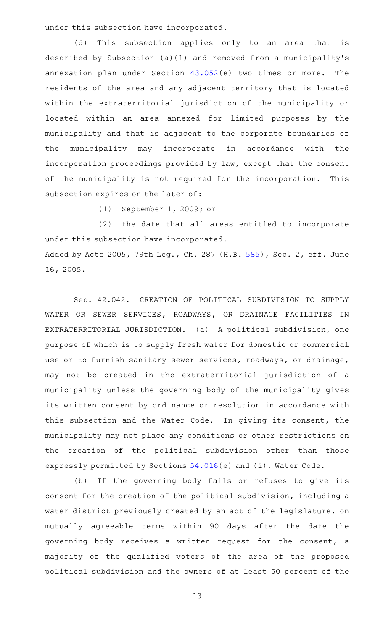under this subsection have incorporated.

(d) This subsection applies only to an area that is described by Subsection (a)(1) and removed from a municipality 's annexation plan under Section  $43.052(e)$  $43.052(e)$  two times or more. The residents of the area and any adjacent territory that is located within the extraterritorial jurisdiction of the municipality or located within an area annexed for limited purposes by the municipality and that is adjacent to the corporate boundaries of the municipality may incorporate in accordance with the incorporation proceedings provided by law, except that the consent of the municipality is not required for the incorporation. This subsection expires on the later of:

(1) September 1, 2009; or

(2) the date that all areas entitled to incorporate under this subsection have incorporated. Added by Acts 2005, 79th Leg., Ch. 287 (H.B. [585](http://www.legis.state.tx.us/tlodocs/79R/billtext/html/HB00585F.HTM)), Sec. 2, eff. June 16, 2005.

Sec. 42.042. CREATION OF POLITICAL SUBDIVISION TO SUPPLY WATER OR SEWER SERVICES, ROADWAYS, OR DRAINAGE FACILITIES IN EXTRATERRITORIAL JURISDICTION. (a) A political subdivision, one purpose of which is to supply fresh water for domestic or commercial use or to furnish sanitary sewer services, roadways, or drainage, may not be created in the extraterritorial jurisdiction of a municipality unless the governing body of the municipality gives its written consent by ordinance or resolution in accordance with this subsection and the Water Code. In giving its consent, the municipality may not place any conditions or other restrictions on the creation of the political subdivision other than those expressly permitted by Sections [54.016\(](http://www.statutes.legis.state.tx.us/GetStatute.aspx?Code=WA&Value=54.016)e) and (i), Water Code.

(b) If the governing body fails or refuses to give its consent for the creation of the political subdivision, including a water district previously created by an act of the legislature, on mutually agreeable terms within 90 days after the date the governing body receives a written request for the consent, a majority of the qualified voters of the area of the proposed political subdivision and the owners of at least 50 percent of the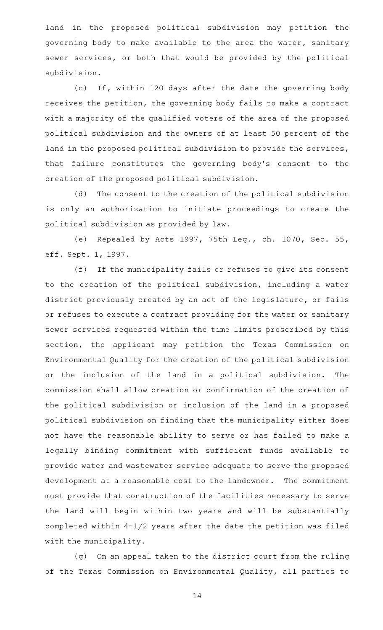land in the proposed political subdivision may petition the governing body to make available to the area the water, sanitary sewer services, or both that would be provided by the political subdivision.

(c) If, within 120 days after the date the governing body receives the petition, the governing body fails to make a contract with a majority of the qualified voters of the area of the proposed political subdivision and the owners of at least 50 percent of the land in the proposed political subdivision to provide the services, that failure constitutes the governing body 's consent to the creation of the proposed political subdivision.

(d) The consent to the creation of the political subdivision is only an authorization to initiate proceedings to create the political subdivision as provided by law.

(e) Repealed by Acts 1997, 75th Leg., ch. 1070, Sec. 55, eff. Sept. 1, 1997.

(f) If the municipality fails or refuses to give its consent to the creation of the political subdivision, including a water district previously created by an act of the legislature, or fails or refuses to execute a contract providing for the water or sanitary sewer services requested within the time limits prescribed by this section, the applicant may petition the Texas Commission on Environmental Quality for the creation of the political subdivision or the inclusion of the land in a political subdivision. The commission shall allow creation or confirmation of the creation of the political subdivision or inclusion of the land in a proposed political subdivision on finding that the municipality either does not have the reasonable ability to serve or has failed to make a legally binding commitment with sufficient funds available to provide water and wastewater service adequate to serve the proposed development at a reasonable cost to the landowner. The commitment must provide that construction of the facilities necessary to serve the land will begin within two years and will be substantially completed within 4-1/2 years after the date the petition was filed with the municipality.

(g) On an appeal taken to the district court from the ruling of the Texas Commission on Environmental Quality, all parties to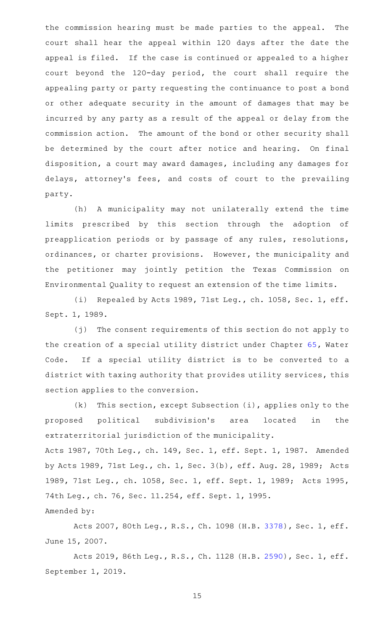the commission hearing must be made parties to the appeal. The court shall hear the appeal within 120 days after the date the appeal is filed. If the case is continued or appealed to a higher court beyond the 120-day period, the court shall require the appealing party or party requesting the continuance to post a bond or other adequate security in the amount of damages that may be incurred by any party as a result of the appeal or delay from the commission action. The amount of the bond or other security shall be determined by the court after notice and hearing. On final disposition, a court may award damages, including any damages for delays, attorney's fees, and costs of court to the prevailing party.

(h) A municipality may not unilaterally extend the time limits prescribed by this section through the adoption of preapplication periods or by passage of any rules, resolutions, ordinances, or charter provisions. However, the municipality and the petitioner may jointly petition the Texas Commission on Environmental Quality to request an extension of the time limits.

(i) Repealed by Acts 1989, 71st Leg., ch. 1058, Sec. 1, eff. Sept. 1, 1989.

(j) The consent requirements of this section do not apply to the creation of a special utility district under Chapter [65](http://www.statutes.legis.state.tx.us/GetStatute.aspx?Code=WA&Value=65), Water Code. If a special utility district is to be converted to a district with taxing authority that provides utility services, this section applies to the conversion.

 $(k)$  This section, except Subsection (i), applies only to the proposed political subdivision's area located in the extraterritorial jurisdiction of the municipality. Acts 1987, 70th Leg., ch. 149, Sec. 1, eff. Sept. 1, 1987. Amended by Acts 1989, 71st Leg., ch. 1, Sec. 3(b), eff. Aug. 28, 1989; Acts 1989, 71st Leg., ch. 1058, Sec. 1, eff. Sept. 1, 1989; Acts 1995,

74th Leg., ch. 76, Sec. 11.254, eff. Sept. 1, 1995.

#### Amended by:

Acts 2007, 80th Leg., R.S., Ch. 1098 (H.B. [3378](http://www.legis.state.tx.us/tlodocs/80R/billtext/html/HB03378F.HTM)), Sec. 1, eff. June 15, 2007.

Acts 2019, 86th Leg., R.S., Ch. 1128 (H.B. [2590](http://www.legis.state.tx.us/tlodocs/86R/billtext/html/HB02590F.HTM)), Sec. 1, eff. September 1, 2019.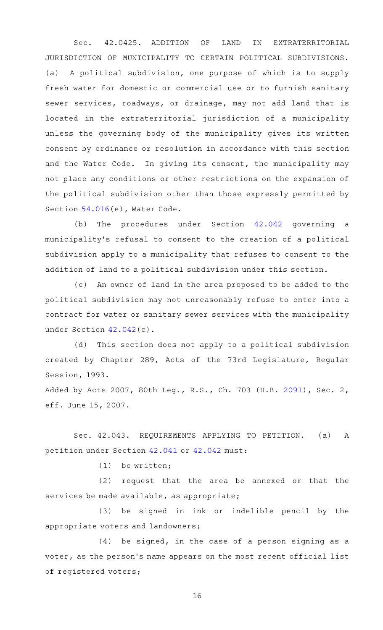Sec. 42.0425. ADDITION OF LAND IN EXTRATERRITORIAL JURISDICTION OF MUNICIPALITY TO CERTAIN POLITICAL SUBDIVISIONS. (a) A political subdivision, one purpose of which is to supply fresh water for domestic or commercial use or to furnish sanitary sewer services, roadways, or drainage, may not add land that is located in the extraterritorial jurisdiction of a municipality unless the governing body of the municipality gives its written consent by ordinance or resolution in accordance with this section and the Water Code. In giving its consent, the municipality may not place any conditions or other restrictions on the expansion of the political subdivision other than those expressly permitted by Section [54.016](http://www.statutes.legis.state.tx.us/GetStatute.aspx?Code=WA&Value=54.016)(e), Water Code.

(b) The procedures under Section [42.042](http://www.statutes.legis.state.tx.us/GetStatute.aspx?Code=LG&Value=42.042) governing a municipality 's refusal to consent to the creation of a political subdivision apply to a municipality that refuses to consent to the addition of land to a political subdivision under this section.

(c) An owner of land in the area proposed to be added to the political subdivision may not unreasonably refuse to enter into a contract for water or sanitary sewer services with the municipality under Section [42.042\(](http://www.statutes.legis.state.tx.us/GetStatute.aspx?Code=LG&Value=42.042)c).

(d) This section does not apply to a political subdivision created by Chapter 289, Acts of the 73rd Legislature, Regular Session, 1993.

Added by Acts 2007, 80th Leg., R.S., Ch. 703 (H.B. [2091](http://www.legis.state.tx.us/tlodocs/80R/billtext/html/HB02091F.HTM)), Sec. 2, eff. June 15, 2007.

Sec. 42.043. REQUIREMENTS APPLYING TO PETITION. (a) A petition under Section [42.041](http://www.statutes.legis.state.tx.us/GetStatute.aspx?Code=LG&Value=42.041) or [42.042](http://www.statutes.legis.state.tx.us/GetStatute.aspx?Code=LG&Value=42.042) must:

 $(1)$  be written;

 $(2)$  request that the area be annexed or that the services be made available, as appropriate;

(3) be signed in ink or indelible pencil by the appropriate voters and landowners;

 $(4)$  be signed, in the case of a person signing as a voter, as the person's name appears on the most recent official list of registered voters;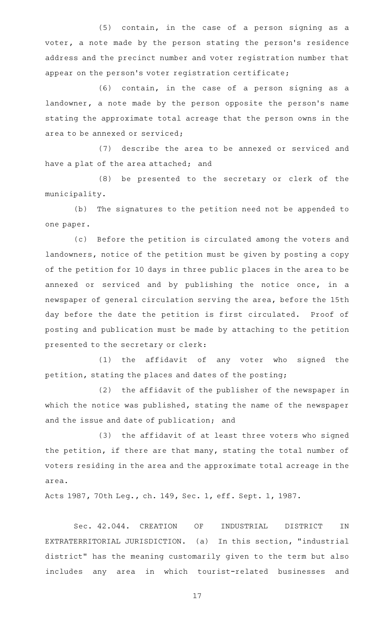$(5)$  contain, in the case of a person signing as a voter, a note made by the person stating the person's residence address and the precinct number and voter registration number that appear on the person's voter registration certificate;

 $(6)$  contain, in the case of a person signing as a landowner, a note made by the person opposite the person's name stating the approximate total acreage that the person owns in the area to be annexed or serviced;

(7) describe the area to be annexed or serviced and have a plat of the area attached; and

(8) be presented to the secretary or clerk of the municipality.

(b) The signatures to the petition need not be appended to one paper.

(c) Before the petition is circulated among the voters and landowners, notice of the petition must be given by posting a copy of the petition for 10 days in three public places in the area to be annexed or serviced and by publishing the notice once, in a newspaper of general circulation serving the area, before the 15th day before the date the petition is first circulated. Proof of posting and publication must be made by attaching to the petition presented to the secretary or clerk:

(1) the affidavit of any voter who signed the petition, stating the places and dates of the posting;

(2) the affidavit of the publisher of the newspaper in which the notice was published, stating the name of the newspaper and the issue and date of publication; and

(3) the affidavit of at least three voters who signed the petition, if there are that many, stating the total number of voters residing in the area and the approximate total acreage in the area.

Acts 1987, 70th Leg., ch. 149, Sec. 1, eff. Sept. 1, 1987.

Sec. 42.044. CREATION OF INDUSTRIAL DISTRICT IN EXTRATERRITORIAL JURISDICTION. (a) In this section, "industrial district" has the meaning customarily given to the term but also includes any area in which tourist-related businesses and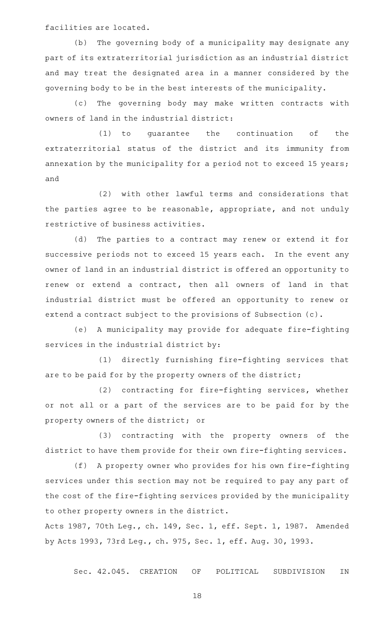facilities are located.

(b) The governing body of a municipality may designate any part of its extraterritorial jurisdiction as an industrial district and may treat the designated area in a manner considered by the governing body to be in the best interests of the municipality.

(c) The governing body may make written contracts with owners of land in the industrial district:

 $(1)$  to quarantee the continuation of the extraterritorial status of the district and its immunity from annexation by the municipality for a period not to exceed 15 years; and

(2) with other lawful terms and considerations that the parties agree to be reasonable, appropriate, and not unduly restrictive of business activities.

(d) The parties to a contract may renew or extend it for successive periods not to exceed 15 years each. In the event any owner of land in an industrial district is offered an opportunity to renew or extend a contract, then all owners of land in that industrial district must be offered an opportunity to renew or extend a contract subject to the provisions of Subsection (c).

(e) A municipality may provide for adequate fire-fighting services in the industrial district by:

(1) directly furnishing fire-fighting services that are to be paid for by the property owners of the district;

(2) contracting for fire-fighting services, whether or not all or a part of the services are to be paid for by the property owners of the district; or

(3) contracting with the property owners of the district to have them provide for their own fire-fighting services.

(f) A property owner who provides for his own fire-fighting services under this section may not be required to pay any part of the cost of the fire-fighting services provided by the municipality to other property owners in the district.

Acts 1987, 70th Leg., ch. 149, Sec. 1, eff. Sept. 1, 1987. Amended by Acts 1993, 73rd Leg., ch. 975, Sec. 1, eff. Aug. 30, 1993.

Sec. 42.045. CREATION OF POLITICAL SUBDIVISION IN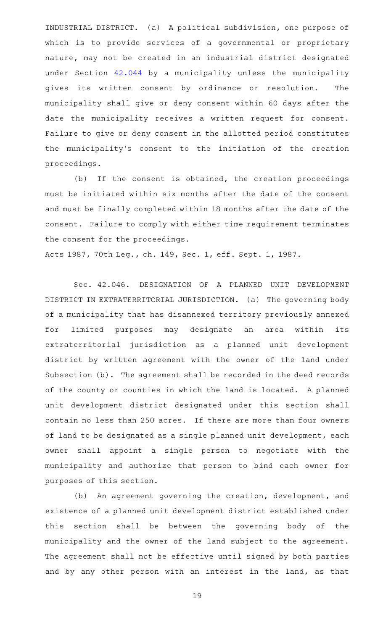INDUSTRIAL DISTRICT. (a) A political subdivision, one purpose of which is to provide services of a governmental or proprietary nature, may not be created in an industrial district designated under Section [42.044](http://www.statutes.legis.state.tx.us/GetStatute.aspx?Code=LG&Value=42.044) by a municipality unless the municipality gives its written consent by ordinance or resolution. The municipality shall give or deny consent within 60 days after the date the municipality receives a written request for consent. Failure to give or deny consent in the allotted period constitutes the municipality 's consent to the initiation of the creation proceedings.

(b) If the consent is obtained, the creation proceedings must be initiated within six months after the date of the consent and must be finally completed within 18 months after the date of the consent. Failure to comply with either time requirement terminates the consent for the proceedings.

Acts 1987, 70th Leg., ch. 149, Sec. 1, eff. Sept. 1, 1987.

Sec. 42.046. DESIGNATION OF A PLANNED UNIT DEVELOPMENT DISTRICT IN EXTRATERRITORIAL JURISDICTION. (a) The governing body of a municipality that has disannexed territory previously annexed for limited purposes may designate an area within its extraterritorial jurisdiction as a planned unit development district by written agreement with the owner of the land under Subsection (b). The agreement shall be recorded in the deed records of the county or counties in which the land is located. A planned unit development district designated under this section shall contain no less than 250 acres. If there are more than four owners of land to be designated as a single planned unit development, each owner shall appoint a single person to negotiate with the municipality and authorize that person to bind each owner for purposes of this section.

(b) An agreement governing the creation, development, and existence of a planned unit development district established under this section shall be between the governing body of the municipality and the owner of the land subject to the agreement. The agreement shall not be effective until signed by both parties and by any other person with an interest in the land, as that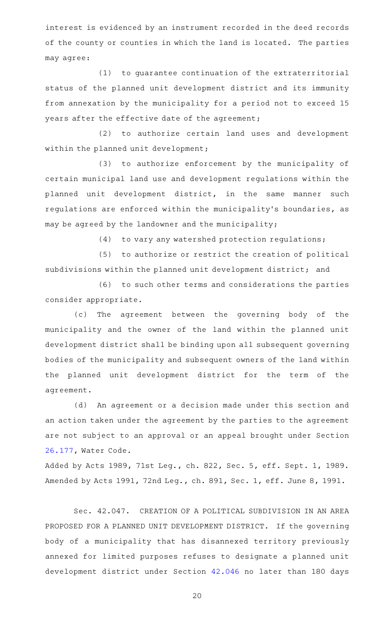interest is evidenced by an instrument recorded in the deed records of the county or counties in which the land is located. The parties may agree:

 $(1)$  to guarantee continuation of the extraterritorial status of the planned unit development district and its immunity from annexation by the municipality for a period not to exceed 15 years after the effective date of the agreement;

(2) to authorize certain land uses and development within the planned unit development;

(3) to authorize enforcement by the municipality of certain municipal land use and development regulations within the planned unit development district, in the same manner such regulations are enforced within the municipality 's boundaries, as may be agreed by the landowner and the municipality;

 $(4)$  to vary any watershed protection regulations;

(5) to authorize or restrict the creation of political subdivisions within the planned unit development district; and

(6) to such other terms and considerations the parties consider appropriate.

(c) The agreement between the governing body of the municipality and the owner of the land within the planned unit development district shall be binding upon all subsequent governing bodies of the municipality and subsequent owners of the land within the planned unit development district for the term of the agreement.

(d) An agreement or a decision made under this section and an action taken under the agreement by the parties to the agreement are not subject to an approval or an appeal brought under Section [26.177](http://www.statutes.legis.state.tx.us/GetStatute.aspx?Code=WA&Value=26.177), Water Code.

Added by Acts 1989, 71st Leg., ch. 822, Sec. 5, eff. Sept. 1, 1989. Amended by Acts 1991, 72nd Leg., ch. 891, Sec. 1, eff. June 8, 1991.

Sec. 42.047. CREATION OF A POLITICAL SUBDIVISION IN AN AREA PROPOSED FOR A PLANNED UNIT DEVELOPMENT DISTRICT. If the governing body of a municipality that has disannexed territory previously annexed for limited purposes refuses to designate a planned unit development district under Section [42.046](http://www.statutes.legis.state.tx.us/GetStatute.aspx?Code=LG&Value=42.046) no later than 180 days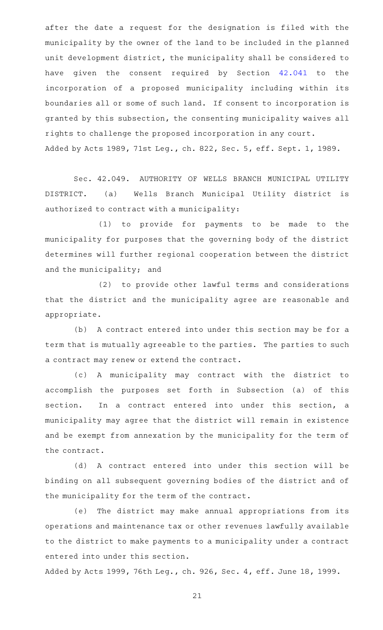after the date a request for the designation is filed with the municipality by the owner of the land to be included in the planned unit development district, the municipality shall be considered to have given the consent required by Section [42.041](http://www.statutes.legis.state.tx.us/GetStatute.aspx?Code=LG&Value=42.041) to the incorporation of a proposed municipality including within its boundaries all or some of such land. If consent to incorporation is granted by this subsection, the consenting municipality waives all rights to challenge the proposed incorporation in any court. Added by Acts 1989, 71st Leg., ch. 822, Sec. 5, eff. Sept. 1, 1989.

Sec. 42.049. AUTHORITY OF WELLS BRANCH MUNICIPAL UTILITY DISTRICT. (a) Wells Branch Municipal Utility district is authorized to contract with a municipality:

(1) to provide for payments to be made to the municipality for purposes that the governing body of the district determines will further regional cooperation between the district and the municipality; and

(2) to provide other lawful terms and considerations that the district and the municipality agree are reasonable and appropriate.

(b) A contract entered into under this section may be for a term that is mutually agreeable to the parties. The parties to such a contract may renew or extend the contract.

(c)AAA municipality may contract with the district to accomplish the purposes set forth in Subsection (a) of this section. In a contract entered into under this section, a municipality may agree that the district will remain in existence and be exempt from annexation by the municipality for the term of the contract.

(d) A contract entered into under this section will be binding on all subsequent governing bodies of the district and of the municipality for the term of the contract.

(e) The district may make annual appropriations from its operations and maintenance tax or other revenues lawfully available to the district to make payments to a municipality under a contract entered into under this section.

Added by Acts 1999, 76th Leg., ch. 926, Sec. 4, eff. June 18, 1999.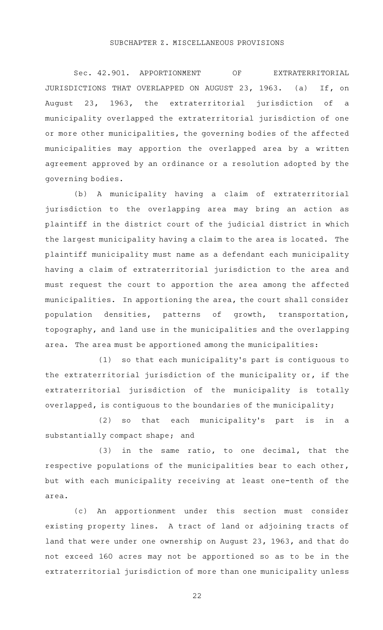# SUBCHAPTER Z. MISCELLANEOUS PROVISIONS

Sec. 42.901. APPORTIONMENT OF EXTRATERRITORIAL JURISDICTIONS THAT OVERLAPPED ON AUGUST 23, 1963. (a) If, on August 23, 1963, the extraterritorial jurisdiction of a municipality overlapped the extraterritorial jurisdiction of one or more other municipalities, the governing bodies of the affected municipalities may apportion the overlapped area by a written agreement approved by an ordinance or a resolution adopted by the governing bodies.

(b) A municipality having a claim of extraterritorial jurisdiction to the overlapping area may bring an action as plaintiff in the district court of the judicial district in which the largest municipality having a claim to the area is located. The plaintiff municipality must name as a defendant each municipality having a claim of extraterritorial jurisdiction to the area and must request the court to apportion the area among the affected municipalities. In apportioning the area, the court shall consider population densities, patterns of growth, transportation, topography, and land use in the municipalities and the overlapping area. The area must be apportioned among the municipalities:

(1) so that each municipality's part is contiguous to the extraterritorial jurisdiction of the municipality or, if the extraterritorial jurisdiction of the municipality is totally overlapped, is contiguous to the boundaries of the municipality;

(2) so that each municipality's part is in a substantially compact shape; and

 $(3)$  in the same ratio, to one decimal, that the respective populations of the municipalities bear to each other, but with each municipality receiving at least one-tenth of the area.

(c) An apportionment under this section must consider existing property lines. A tract of land or adjoining tracts of land that were under one ownership on August 23, 1963, and that do not exceed 160 acres may not be apportioned so as to be in the extraterritorial jurisdiction of more than one municipality unless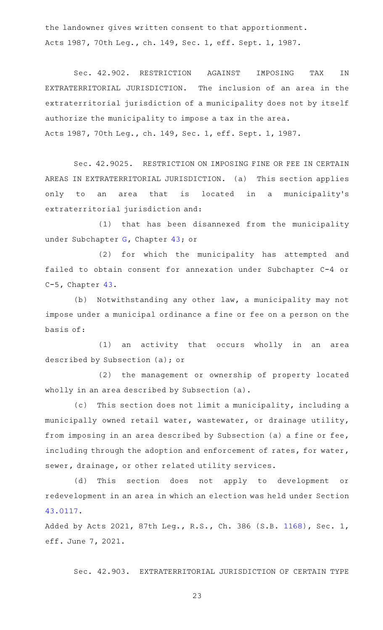the landowner gives written consent to that apportionment. Acts 1987, 70th Leg., ch. 149, Sec. 1, eff. Sept. 1, 1987.

Sec. 42.902. RESTRICTION AGAINST IMPOSING TAX IN EXTRATERRITORIAL JURISDICTION. The inclusion of an area in the extraterritorial jurisdiction of a municipality does not by itself authorize the municipality to impose a tax in the area. Acts 1987, 70th Leg., ch. 149, Sec. 1, eff. Sept. 1, 1987.

Sec. 42.9025. RESTRICTION ON IMPOSING FINE OR FEE IN CERTAIN AREAS IN EXTRATERRITORIAL JURISDICTION. (a) This section applies only to an area that is located in a municipality's extraterritorial jurisdiction and:

(1) that has been disannexed from the municipality under Subchapter [G,](http://www.statutes.legis.state.tx.us/GetStatute.aspx?Code=LG&Value=43.141) Chapter [43](http://www.statutes.legis.state.tx.us/GetStatute.aspx?Code=LG&Value=43); or

(2) for which the municipality has attempted and failed to obtain consent for annexation under Subchapter C-4 or C-5, Chapter [43](http://www.statutes.legis.state.tx.us/GetStatute.aspx?Code=LG&Value=43).

(b) Notwithstanding any other law, a municipality may not impose under a municipal ordinance a fine or fee on a person on the basis of:

 $(1)$  an activity that occurs wholly in an area described by Subsection (a); or

(2) the management or ownership of property located wholly in an area described by Subsection (a).

(c) This section does not limit a municipality, including a municipally owned retail water, wastewater, or drainage utility, from imposing in an area described by Subsection (a) a fine or fee, including through the adoption and enforcement of rates, for water, sewer, drainage, or other related utility services.

(d) This section does not apply to development or redevelopment in an area in which an election was held under Section [43.0117.](http://www.statutes.legis.state.tx.us/GetStatute.aspx?Code=LG&Value=43.0117)

Added by Acts 2021, 87th Leg., R.S., Ch. 386 (S.B. [1168](http://www.legis.state.tx.us/tlodocs/87R/billtext/html/SB01168F.HTM)), Sec. 1, eff. June 7, 2021.

Sec. 42.903. EXTRATERRITORIAL JURISDICTION OF CERTAIN TYPE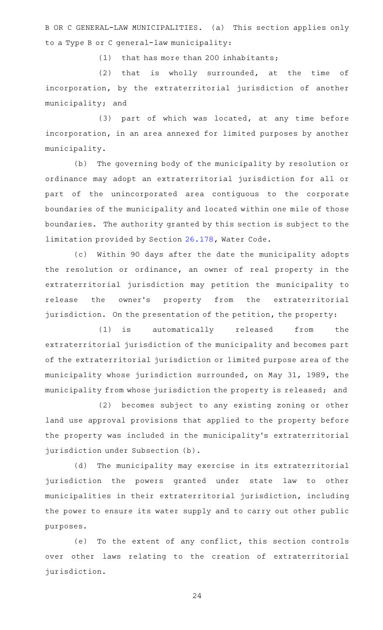B OR C GENERAL-LAW MUNICIPALITIES. (a) This section applies only to a Type B or C general-law municipality:

 $(1)$  that has more than 200 inhabitants;

 $(2)$  that is wholly surrounded, at the time of incorporation, by the extraterritorial jurisdiction of another municipality; and

(3) part of which was located, at any time before incorporation, in an area annexed for limited purposes by another municipality.

(b) The governing body of the municipality by resolution or ordinance may adopt an extraterritorial jurisdiction for all or part of the unincorporated area contiguous to the corporate boundaries of the municipality and located within one mile of those boundaries. The authority granted by this section is subject to the limitation provided by Section [26.178](http://www.statutes.legis.state.tx.us/GetStatute.aspx?Code=WA&Value=26.178), Water Code.

(c) Within 90 days after the date the municipality adopts the resolution or ordinance, an owner of real property in the extraterritorial jurisdiction may petition the municipality to release the owner 's property from the extraterritorial jurisdiction. On the presentation of the petition, the property:

(1) is automatically released from the extraterritorial jurisdiction of the municipality and becomes part of the extraterritorial jurisdiction or limited purpose area of the municipality whose jurisdiction surrounded, on May 31, 1989, the municipality from whose jurisdiction the property is released; and

(2) becomes subject to any existing zoning or other land use approval provisions that applied to the property before the property was included in the municipality 's extraterritorial jurisdiction under Subsection (b).

(d) The municipality may exercise in its extraterritorial jurisdiction the powers granted under state law to other municipalities in their extraterritorial jurisdiction, including the power to ensure its water supply and to carry out other public purposes.

(e) To the extent of any conflict, this section controls over other laws relating to the creation of extraterritorial jurisdiction.